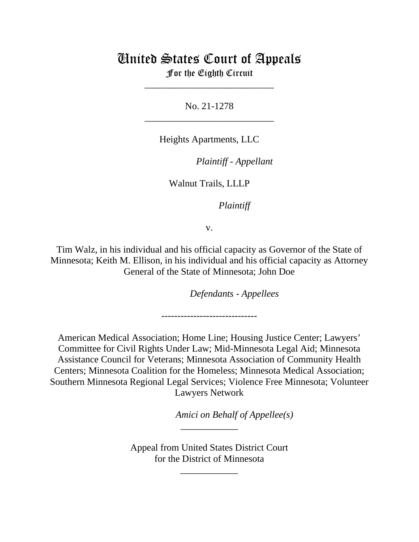# United States Court of Appeals

For the Eighth Circuit \_\_\_\_\_\_\_\_\_\_\_\_\_\_\_\_\_\_\_\_\_\_\_\_\_\_\_

No. 21-1278 \_\_\_\_\_\_\_\_\_\_\_\_\_\_\_\_\_\_\_\_\_\_\_\_\_\_\_

Heights Apartments, LLC

*Plaintiff - Appellant*

Walnut Trails, LLLP

*Plaintiff*

v.

Tim Walz, in his individual and his official capacity as Governor of the State of Minnesota; Keith M. Ellison, in his individual and his official capacity as Attorney General of the State of Minnesota; John Doe

*Defendants - Appellees*

------------------------------

American Medical Association; Home Line; Housing Justice Center; Lawyers' Committee for Civil Rights Under Law; Mid-Minnesota Legal Aid; Minnesota Assistance Council for Veterans; Minnesota Association of Community Health Centers; Minnesota Coalition for the Homeless; Minnesota Medical Association; Southern Minnesota Regional Legal Services; Violence Free Minnesota; Volunteer Lawyers Network

*Amici on Behalf of Appellee(s)*

Appeal from United States District Court for the District of Minnesota

\_\_\_\_\_\_\_\_\_\_\_\_

\_\_\_\_\_\_\_\_\_\_\_\_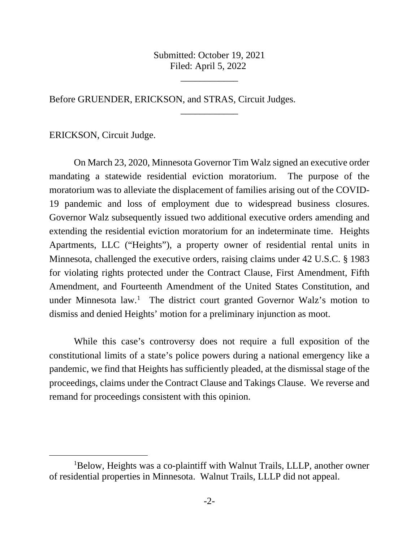Submitted: October 19, 2021 Filed: April 5, 2022

\_\_\_\_\_\_\_\_\_\_\_\_

\_\_\_\_\_\_\_\_\_\_\_\_

Before GRUENDER, ERICKSON, and STRAS, Circuit Judges.

ERICKSON, Circuit Judge.

On March 23, 2020, Minnesota Governor Tim Walz signed an executive order mandating a statewide residential eviction moratorium. The purpose of the moratorium was to alleviate the displacement of families arising out of the COVID-19 pandemic and loss of employment due to widespread business closures. Governor Walz subsequently issued two additional executive orders amending and extending the residential eviction moratorium for an indeterminate time. Heights Apartments, LLC ("Heights"), a property owner of residential rental units in Minnesota, challenged the executive orders, raising claims under 42 U.S.C. § 1983 for violating rights protected under the Contract Clause, First Amendment, Fifth Amendment, and Fourteenth Amendment of the United States Constitution, and under Minnesota law.<sup>[1](#page-1-0)</sup> The district court granted Governor Walz's motion to dismiss and denied Heights' motion for a preliminary injunction as moot.

While this case's controversy does not require a full exposition of the constitutional limits of a state's police powers during a national emergency like a pandemic, we find that Heights has sufficiently pleaded, at the dismissal stage of the proceedings, claims under the Contract Clause and Takings Clause. We reverse and remand for proceedings consistent with this opinion.

<span id="page-1-0"></span><sup>&</sup>lt;sup>1</sup>Below, Heights was a co-plaintiff with Walnut Trails, LLLP, another owner of residential properties in Minnesota. Walnut Trails, LLLP did not appeal.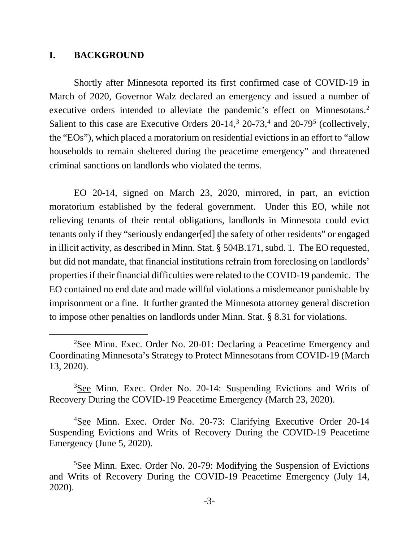#### **I. BACKGROUND**

Shortly after Minnesota reported its first confirmed case of COVID-19 in March of 2020, Governor Walz declared an emergency and issued a number of executive orders intended to alleviate the pandemic's effect on Minnesotans.<sup>[2](#page-2-0)</sup> Salient to this case are Executive Orders  $20-14$  $20-14$ ,  $320-73$  $320-73$ , and  $20-79$ <sup>[5](#page-2-3)</sup> (collectively, the "EOs"), which placed a moratorium on residential evictions in an effort to "allow households to remain sheltered during the peacetime emergency" and threatened criminal sanctions on landlords who violated the terms.

EO 20-14, signed on March 23, 2020, mirrored, in part, an eviction moratorium established by the federal government. Under this EO, while not relieving tenants of their rental obligations, landlords in Minnesota could evict tenants only if they "seriously endanger[ed] the safety of other residents" or engaged in illicit activity, as described in Minn. Stat. § 504B.171, subd. 1. The EO requested, but did not mandate, that financial institutions refrain from foreclosing on landlords' properties if their financial difficulties were related to the COVID-19 pandemic. The EO contained no end date and made willful violations a misdemeanor punishable by imprisonment or a fine. It further granted the Minnesota attorney general discretion to impose other penalties on landlords under Minn. Stat. § 8.31 for violations.

<span id="page-2-0"></span><sup>&</sup>lt;sup>2</sup>See Minn. Exec. Order No. 20-01: Declaring a Peacetime Emergency and Coordinating Minnesota's Strategy to Protect Minnesotans from COVID-19 (March 13, 2020).

<span id="page-2-1"></span><sup>&</sup>lt;sup>3</sup>See Minn. Exec. Order No. 20-14: Suspending Evictions and Writs of Recovery During the COVID-19 Peacetime Emergency (March 23, 2020).

<span id="page-2-2"></span><sup>&</sup>lt;sup>4</sup>See Minn. Exec. Order No. 20-73: Clarifying Executive Order 20-14 Suspending Evictions and Writs of Recovery During the COVID-19 Peacetime Emergency (June 5, 2020).

<span id="page-2-3"></span><sup>&</sup>lt;sup>5</sup>See Minn. Exec. Order No. 20-79: Modifying the Suspension of Evictions and Writs of Recovery During the COVID-19 Peacetime Emergency (July 14, 2020).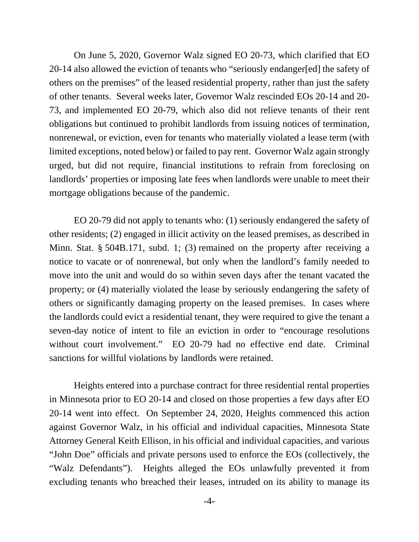On June 5, 2020, Governor Walz signed EO 20-73, which clarified that EO 20-14 also allowed the eviction of tenants who "seriously endanger[ed] the safety of others on the premises" of the leased residential property, rather than just the safety of other tenants. Several weeks later, Governor Walz rescinded EOs 20-14 and 20- 73, and implemented EO 20-79, which also did not relieve tenants of their rent obligations but continued to prohibit landlords from issuing notices of termination, nonrenewal, or eviction, even for tenants who materially violated a lease term (with limited exceptions, noted below) or failed to pay rent. Governor Walz again strongly urged, but did not require, financial institutions to refrain from foreclosing on landlords' properties or imposing late fees when landlords were unable to meet their mortgage obligations because of the pandemic.

EO 20-79 did not apply to tenants who: (1) seriously endangered the safety of other residents; (2) engaged in illicit activity on the leased premises, as described in Minn. Stat. § 504B.171, subd. 1; (3) remained on the property after receiving a notice to vacate or of nonrenewal, but only when the landlord's family needed to move into the unit and would do so within seven days after the tenant vacated the property; or (4) materially violated the lease by seriously endangering the safety of others or significantly damaging property on the leased premises. In cases where the landlords could evict a residential tenant, they were required to give the tenant a seven-day notice of intent to file an eviction in order to "encourage resolutions without court involvement." EO 20-79 had no effective end date. Criminal sanctions for willful violations by landlords were retained.

Heights entered into a purchase contract for three residential rental properties in Minnesota prior to EO 20-14 and closed on those properties a few days after EO 20-14 went into effect. On September 24, 2020, Heights commenced this action against Governor Walz, in his official and individual capacities, Minnesota State Attorney General Keith Ellison, in his official and individual capacities, and various "John Doe" officials and private persons used to enforce the EOs (collectively, the "Walz Defendants"). Heights alleged the EOs unlawfully prevented it from excluding tenants who breached their leases, intruded on its ability to manage its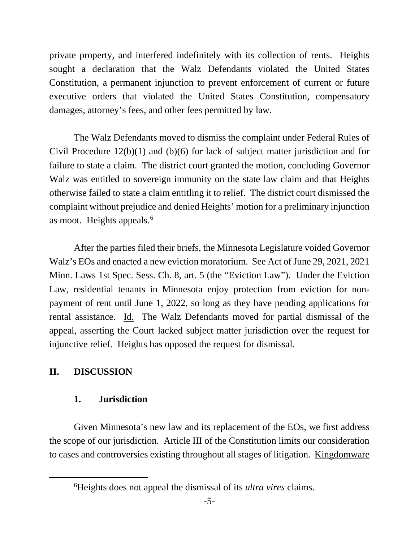private property, and interfered indefinitely with its collection of rents. Heights sought a declaration that the Walz Defendants violated the United States Constitution, a permanent injunction to prevent enforcement of current or future executive orders that violated the United States Constitution, compensatory damages, attorney's fees, and other fees permitted by law.

The Walz Defendants moved to dismiss the complaint under Federal Rules of Civil Procedure 12(b)(1) and (b)(6) for lack of subject matter jurisdiction and for failure to state a claim. The district court granted the motion, concluding Governor Walz was entitled to sovereign immunity on the state law claim and that Heights otherwise failed to state a claim entitling it to relief. The district court dismissed the complaint without prejudice and denied Heights' motion for a preliminary injunction as moot. Heights appeals.<sup>6</sup>

After the parties filed their briefs, the Minnesota Legislature voided Governor Walz's EOs and enacted a new eviction moratorium. See Act of June 29, 2021, 2021 Minn. Laws 1st Spec. Sess. Ch. 8, art. 5 (the "Eviction Law"). Under the Eviction Law, residential tenants in Minnesota enjoy protection from eviction for nonpayment of rent until June 1, 2022, so long as they have pending applications for rental assistance. Id. The Walz Defendants moved for partial dismissal of the appeal, asserting the Court lacked subject matter jurisdiction over the request for injunctive relief. Heights has opposed the request for dismissal.

# **II. DISCUSSION**

## **1. Jurisdiction**

Given Minnesota's new law and its replacement of the EOs, we first address the scope of our jurisdiction. Article III of the Constitution limits our consideration to cases and controversies existing throughout all stages of litigation. Kingdomware

<span id="page-4-0"></span><sup>6</sup> Heights does not appeal the dismissal of its *ultra vires* claims.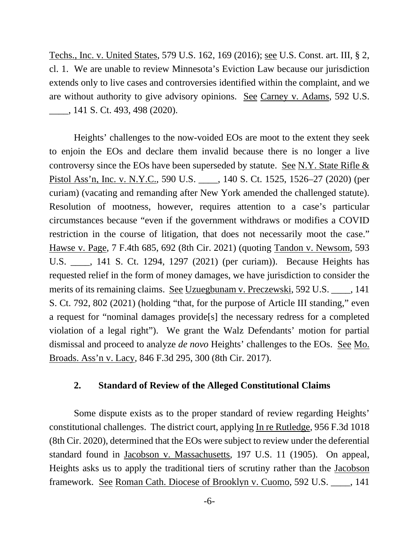Techs., Inc. v. United States, 579 U.S. 162, 169 (2016); see U.S. Const. art. III, § 2, cl. 1. We are unable to review Minnesota's Eviction Law because our jurisdiction extends only to live cases and controversies identified within the complaint, and we are without authority to give advisory opinions. See Carney v. Adams, 592 U.S. \_\_\_\_, 141 S. Ct. 493, 498 (2020).

Heights' challenges to the now-voided EOs are moot to the extent they seek to enjoin the EOs and declare them invalid because there is no longer a live controversy since the EOs have been superseded by statute. See N.Y. State Rifle & Pistol Ass'n, Inc. v. N.Y.C., 590 U.S. \_\_\_\_, 140 S. Ct. 1525, 1526–27 (2020) (per curiam) (vacating and remanding after New York amended the challenged statute). Resolution of mootness, however, requires attention to a case's particular circumstances because "even if the government withdraws or modifies a COVID restriction in the course of litigation, that does not necessarily moot the case." Hawse v. Page, 7 F.4th 685, 692 (8th Cir. 2021) (quoting Tandon v. Newsom, 593 U.S. \_\_\_\_, 141 S. Ct. 1294, 1297 (2021) (per curiam)). Because Heights has requested relief in the form of money damages, we have jurisdiction to consider the merits of its remaining claims. See Uzuegbunam v. Preczewski, 592 U.S. \_\_\_\_, 141 S. Ct. 792, 802 (2021) (holding "that, for the purpose of Article III standing," even a request for "nominal damages provide[s] the necessary redress for a completed violation of a legal right"). We grant the Walz Defendants' motion for partial dismissal and proceed to analyze *de novo* Heights' challenges to the EOs. See Mo. Broads. Ass'n v. Lacy, 846 F.3d 295, 300 (8th Cir. 2017).

## **2. Standard of Review of the Alleged Constitutional Claims**

Some dispute exists as to the proper standard of review regarding Heights' constitutional challenges. The district court, applying In re Rutledge, 956 F.3d 1018 (8th Cir. 2020), determined that the EOs were subject to review under the deferential standard found in Jacobson v. Massachusetts, 197 U.S. 11 (1905). On appeal, Heights asks us to apply the traditional tiers of scrutiny rather than the Jacobson framework. See Roman Cath. Diocese of Brooklyn v. Cuomo, 592 U.S. \_\_\_\_, 141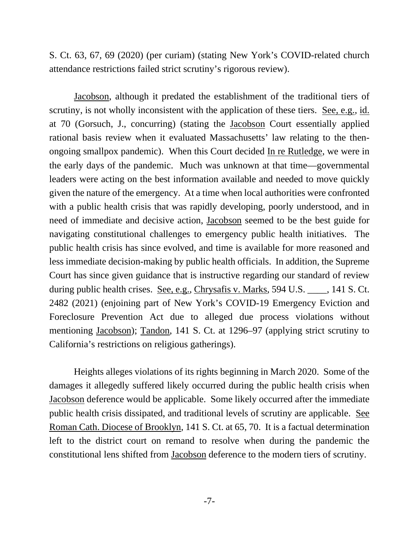S. Ct. 63, 67, 69 (2020) (per curiam) (stating New York's COVID-related church attendance restrictions failed strict scrutiny's rigorous review).

Jacobson, although it predated the establishment of the traditional tiers of scrutiny, is not wholly inconsistent with the application of these tiers. See, e.g., id. at 70 (Gorsuch, J., concurring) (stating the Jacobson Court essentially applied rational basis review when it evaluated Massachusetts' law relating to the thenongoing smallpox pandemic). When this Court decided In re Rutledge, we were in the early days of the pandemic. Much was unknown at that time—governmental leaders were acting on the best information available and needed to move quickly given the nature of the emergency. At a time when local authorities were confronted with a public health crisis that was rapidly developing, poorly understood, and in need of immediate and decisive action, Jacobson seemed to be the best guide for navigating constitutional challenges to emergency public health initiatives. The public health crisis has since evolved, and time is available for more reasoned and less immediate decision-making by public health officials. In addition, the Supreme Court has since given guidance that is instructive regarding our standard of review during public health crises. See, e.g., Chrysafis v. Marks, 594 U.S. \_\_\_\_, 141 S. Ct. 2482 (2021) (enjoining part of New York's COVID-19 Emergency Eviction and Foreclosure Prevention Act due to alleged due process violations without mentioning Jacobson); Tandon, 141 S. Ct. at 1296–97 (applying strict scrutiny to California's restrictions on religious gatherings).

Heights alleges violations of its rights beginning in March 2020. Some of the damages it allegedly suffered likely occurred during the public health crisis when Jacobson deference would be applicable. Some likely occurred after the immediate public health crisis dissipated, and traditional levels of scrutiny are applicable. See Roman Cath. Diocese of Brooklyn, 141 S. Ct. at 65, 70. It is a factual determination left to the district court on remand to resolve when during the pandemic the constitutional lens shifted from Jacobson deference to the modern tiers of scrutiny.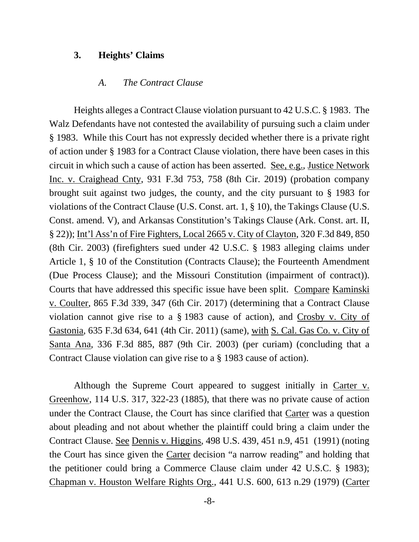#### **3. Heights' Claims**

#### *A. The Contract Clause*

Heights alleges a Contract Clause violation pursuant to 42 U.S.C. § 1983. The Walz Defendants have not contested the availability of pursuing such a claim under § 1983. While this Court has not expressly decided whether there is a private right of action under § 1983 for a Contract Clause violation, there have been cases in this circuit in which such a cause of action has been asserted. See, e.g., Justice Network Inc. v. Craighead Cnty, 931 F.3d 753, 758 (8th Cir. 2019) (probation company brought suit against two judges, the county, and the city pursuant to § 1983 for violations of the Contract Clause (U.S. Const. art. 1, § 10), the Takings Clause (U.S. Const. amend. V), and Arkansas Constitution's Takings Clause (Ark. Const. art. II, § 22)); Int'l Ass'n of Fire Fighters, Local 2665 v. City of Clayton, 320 F.3d 849, 850 (8th Cir. 2003) (firefighters sued under 42 U.S.C. § 1983 alleging claims under Article 1, § 10 of the Constitution (Contracts Clause); the Fourteenth Amendment (Due Process Clause); and the Missouri Constitution (impairment of contract)). Courts that have addressed this specific issue have been split. Compare Kaminski v. Coulter, 865 F.3d 339, 347 (6th Cir. 2017) (determining that a Contract Clause violation cannot give rise to a § 1983 cause of action), and Crosby v. City of Gastonia, 635 F.3d 634, 641 (4th Cir. 2011) (same), with S. Cal. Gas Co. v. City of Santa Ana, 336 F.3d 885, 887 (9th Cir. 2003) (per curiam) (concluding that a Contract Clause violation can give rise to a § 1983 cause of action).

Although the Supreme Court appeared to suggest initially in Carter v. Greenhow, 114 U.S. 317, 322-23 (1885), that there was no private cause of action under the Contract Clause, the Court has since clarified that Carter was a question about pleading and not about whether the plaintiff could bring a claim under the Contract Clause. See Dennis v. Higgins, 498 U.S. 439, 451 n.9, 451 (1991) (noting the Court has since given the Carter decision "a narrow reading" and holding that the petitioner could bring a Commerce Clause claim under 42 U.S.C. § 1983); Chapman v. Houston Welfare Rights Org., 441 U.S. 600, 613 n.29 (1979) (Carter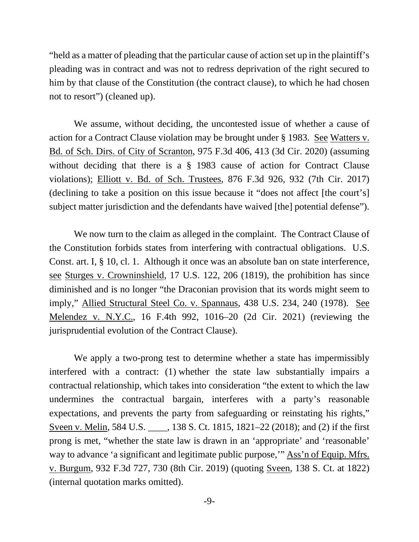"held as a matter of pleading that the particular cause of action set up in the plaintiff's pleading was in contract and was not to redress deprivation of the right secured to him by that clause of the Constitution (the contract clause), to which he had chosen not to resort") (cleaned up).

We assume, without deciding, the uncontested issue of whether a cause of action for a Contract Clause violation may be brought under § 1983. See Watters v. Bd. of Sch. Dirs. of City of Scranton, 975 F.3d 406, 413 (3d Cir. 2020) (assuming without deciding that there is a  $\S$  1983 cause of action for Contract Clause violations); Elliott v. Bd. of Sch. Trustees, 876 F.3d 926, 932 (7th Cir. 2017) (declining to take a position on this issue because it "does not affect [the court's] subject matter jurisdiction and the defendants have waived [the] potential defense").

We now turn to the claim as alleged in the complaint. The Contract Clause of the Constitution forbids states from interfering with contractual obligations. U.S. Const. art. I, § 10, cl. 1. Although it once was an absolute ban on state interference, see Sturges v. Crowninshield, 17 U.S. 122, 206 (1819), the prohibition has since diminished and is no longer "the Draconian provision that its words might seem to imply," Allied Structural Steel Co. v. Spannaus, 438 U.S. 234, 240 (1978). See Melendez v. N.Y.C., 16 F.4th 992, 1016–20 (2d Cir. 2021) (reviewing the jurisprudential evolution of the Contract Clause).

We apply a two-prong test to determine whether a state has impermissibly interfered with a contract: (1) whether the state law substantially impairs a contractual relationship, which takes into consideration "the extent to which the law undermines the contractual bargain, interferes with a party's reasonable expectations, and prevents the party from safeguarding or reinstating his rights," Sveen v. Melin, 584 U.S. \_\_\_\_, 138 S. Ct. 1815, 1821–22 (2018); and (2) if the first prong is met, "whether the state law is drawn in an 'appropriate' and 'reasonable' way to advance 'a significant and legitimate public purpose," Ass'n of Equip. Mfrs. v. Burgum, 932 F.3d 727, 730 (8th Cir. 2019) (quoting Sveen, 138 S. Ct. at 1822) (internal quotation marks omitted).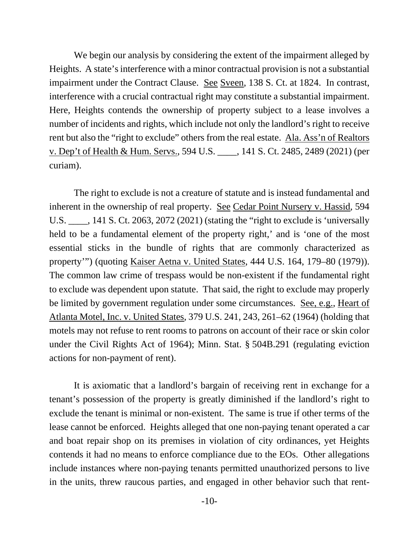We begin our analysis by considering the extent of the impairment alleged by Heights. A state's interference with a minor contractual provision is not a substantial impairment under the Contract Clause. See Sveen, 138 S. Ct. at 1824. In contrast, interference with a crucial contractual right may constitute a substantial impairment. Here, Heights contends the ownership of property subject to a lease involves a number of incidents and rights, which include not only the landlord's right to receive rent but also the "right to exclude" others from the real estate. Ala. Ass'n of Realtors v. Dep't of Health & Hum. Servs., 594 U.S. \_\_\_\_, 141 S. Ct. 2485, 2489 (2021) (per curiam).

The right to exclude is not a creature of statute and is instead fundamental and inherent in the ownership of real property. See Cedar Point Nursery v. Hassid, 594 U.S. \_\_\_\_, 141 S. Ct. 2063, 2072 (2021) (stating the "right to exclude is 'universally held to be a fundamental element of the property right,' and is 'one of the most essential sticks in the bundle of rights that are commonly characterized as property'") (quoting Kaiser Aetna v. United States, 444 U.S. 164, 179–80 (1979)). The common law crime of trespass would be non-existent if the fundamental right to exclude was dependent upon statute. That said, the right to exclude may properly be limited by government regulation under some circumstances. See, e.g., Heart of Atlanta Motel, Inc. v. United States, 379 U.S. 241, 243, 261–62 (1964) (holding that motels may not refuse to rent rooms to patrons on account of their race or skin color under the Civil Rights Act of 1964); Minn. Stat. § 504B.291 (regulating eviction actions for non-payment of rent).

It is axiomatic that a landlord's bargain of receiving rent in exchange for a tenant's possession of the property is greatly diminished if the landlord's right to exclude the tenant is minimal or non-existent. The same is true if other terms of the lease cannot be enforced. Heights alleged that one non-paying tenant operated a car and boat repair shop on its premises in violation of city ordinances, yet Heights contends it had no means to enforce compliance due to the EOs. Other allegations include instances where non-paying tenants permitted unauthorized persons to live in the units, threw raucous parties, and engaged in other behavior such that rent-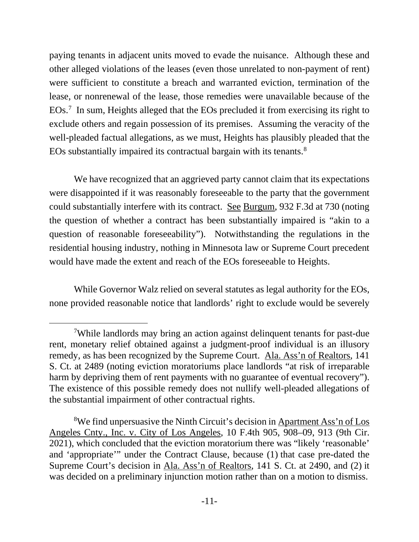paying tenants in adjacent units moved to evade the nuisance. Although these and other alleged violations of the leases (even those unrelated to non-payment of rent) were sufficient to constitute a breach and warranted eviction, termination of the lease, or nonrenewal of the lease, those remedies were unavailable because of the EOs.<sup>[7](#page-10-0)</sup> In sum, Heights alleged that the EOs precluded it from exercising its right to exclude others and regain possession of its premises. Assuming the veracity of the well-pleaded factual allegations, as we must, Heights has plausibly pleaded that the EOs substantially impaired its contractual bargain with its tenants.<sup>[8](#page-10-1)</sup>

We have recognized that an aggrieved party cannot claim that its expectations were disappointed if it was reasonably foreseeable to the party that the government could substantially interfere with its contract. See Burgum, 932 F.3d at 730 (noting the question of whether a contract has been substantially impaired is "akin to a question of reasonable foreseeability"). Notwithstanding the regulations in the residential housing industry, nothing in Minnesota law or Supreme Court precedent would have made the extent and reach of the EOs foreseeable to Heights.

While Governor Walz relied on several statutes as legal authority for the EOs, none provided reasonable notice that landlords' right to exclude would be severely

<span id="page-10-0"></span><sup>7</sup> While landlords may bring an action against delinquent tenants for past-due rent, monetary relief obtained against a judgment-proof individual is an illusory remedy, as has been recognized by the Supreme Court. Ala. Ass'n of Realtors, 141 S. Ct. at 2489 (noting eviction moratoriums place landlords "at risk of irreparable harm by depriving them of rent payments with no guarantee of eventual recovery"). The existence of this possible remedy does not nullify well-pleaded allegations of the substantial impairment of other contractual rights.

<span id="page-10-1"></span><sup>&</sup>lt;sup>8</sup>We find unpersuasive the Ninth Circuit's decision in Apartment Ass'n of Los Angeles Cnty., Inc. v. City of Los Angeles, 10 F.4th 905, 908–09, 913 (9th Cir. 2021), which concluded that the eviction moratorium there was "likely 'reasonable' and 'appropriate'" under the Contract Clause, because (1) that case pre-dated the Supreme Court's decision in Ala. Ass'n of Realtors, 141 S. Ct. at 2490, and (2) it was decided on a preliminary injunction motion rather than on a motion to dismiss.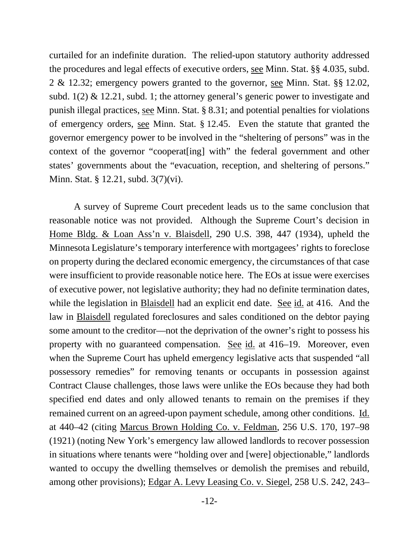curtailed for an indefinite duration. The relied-upon statutory authority addressed the procedures and legal effects of executive orders, see Minn. Stat. §§ 4.035, subd. 2 & 12.32; emergency powers granted to the governor, see Minn. Stat. §§ 12.02, subd. 1(2) & 12.21, subd. 1; the attorney general's generic power to investigate and punish illegal practices, see Minn. Stat. § 8.31; and potential penalties for violations of emergency orders, see Minn. Stat. § 12.45. Even the statute that granted the governor emergency power to be involved in the "sheltering of persons" was in the context of the governor "cooperat[ing] with" the federal government and other states' governments about the "evacuation, reception, and sheltering of persons." Minn. Stat. § 12.21, subd. 3(7)(vi).

A survey of Supreme Court precedent leads us to the same conclusion that reasonable notice was not provided. Although the Supreme Court's decision in Home Bldg. & Loan Ass'n v. Blaisdell, 290 U.S. 398, 447 (1934), upheld the Minnesota Legislature's temporary interference with mortgagees' rights to foreclose on property during the declared economic emergency, the circumstances of that case were insufficient to provide reasonable notice here. The EOs at issue were exercises of executive power, not legislative authority; they had no definite termination dates, while the legislation in Blaisdell had an explicit end date. See id. at 416. And the law in Blaisdell regulated foreclosures and sales conditioned on the debtor paying some amount to the creditor—not the deprivation of the owner's right to possess his property with no guaranteed compensation. See id. at 416–19. Moreover, even when the Supreme Court has upheld emergency legislative acts that suspended "all possessory remedies" for removing tenants or occupants in possession against Contract Clause challenges, those laws were unlike the EOs because they had both specified end dates and only allowed tenants to remain on the premises if they remained current on an agreed-upon payment schedule, among other conditions. Id. at 440–42 (citing Marcus Brown Holding Co. v. Feldman, 256 U.S. 170, 197–98 (1921) (noting New York's emergency law allowed landlords to recover possession in situations where tenants were "holding over and [were] objectionable," landlords wanted to occupy the dwelling themselves or demolish the premises and rebuild, among other provisions); Edgar A. Levy Leasing Co. v. Siegel, 258 U.S. 242, 243–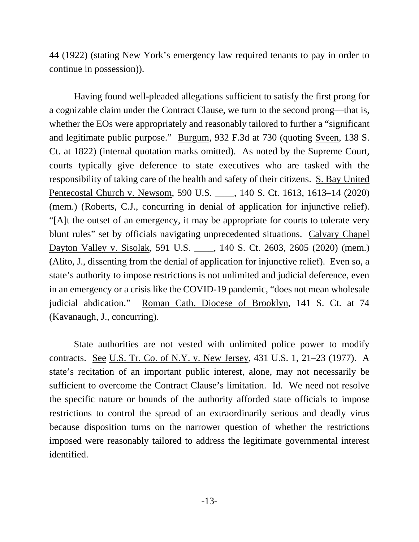44 (1922) (stating New York's emergency law required tenants to pay in order to continue in possession)).

Having found well-pleaded allegations sufficient to satisfy the first prong for a cognizable claim under the Contract Clause, we turn to the second prong—that is, whether the EOs were appropriately and reasonably tailored to further a "significant and legitimate public purpose." Burgum, 932 F.3d at 730 (quoting Sveen, 138 S. Ct. at 1822) (internal quotation marks omitted). As noted by the Supreme Court, courts typically give deference to state executives who are tasked with the responsibility of taking care of the health and safety of their citizens. S. Bay United Pentecostal Church v. Newsom, 590 U.S. \_\_\_\_, 140 S. Ct. 1613, 1613–14 (2020) (mem.) (Roberts, C.J., concurring in denial of application for injunctive relief). "[A]t the outset of an emergency, it may be appropriate for courts to tolerate very blunt rules" set by officials navigating unprecedented situations. Calvary Chapel Dayton Valley v. Sisolak, 591 U.S. \_\_\_\_, 140 S. Ct. 2603, 2605 (2020) (mem.) (Alito, J., dissenting from the denial of application for injunctive relief). Even so, a state's authority to impose restrictions is not unlimited and judicial deference, even in an emergency or a crisis like the COVID-19 pandemic, "does not mean wholesale judicial abdication." Roman Cath. Diocese of Brooklyn, 141 S. Ct. at 74 (Kavanaugh, J., concurring).

State authorities are not vested with unlimited police power to modify contracts. See U.S. Tr. Co. of N.Y. v. New Jersey, 431 U.S. 1, 21–23 (1977). A state's recitation of an important public interest, alone, may not necessarily be sufficient to overcome the Contract Clause's limitation. Id. We need not resolve the specific nature or bounds of the authority afforded state officials to impose restrictions to control the spread of an extraordinarily serious and deadly virus because disposition turns on the narrower question of whether the restrictions imposed were reasonably tailored to address the legitimate governmental interest identified.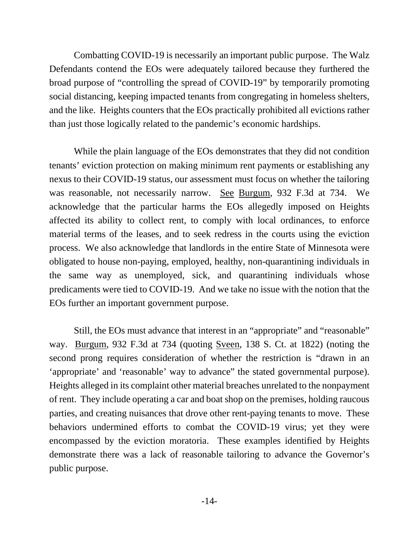Combatting COVID-19 is necessarily an important public purpose. The Walz Defendants contend the EOs were adequately tailored because they furthered the broad purpose of "controlling the spread of COVID-19" by temporarily promoting social distancing, keeping impacted tenants from congregating in homeless shelters, and the like. Heights counters that the EOs practically prohibited all evictions rather than just those logically related to the pandemic's economic hardships.

While the plain language of the EOs demonstrates that they did not condition tenants' eviction protection on making minimum rent payments or establishing any nexus to their COVID-19 status, our assessment must focus on whether the tailoring was reasonable, not necessarily narrow. See Burgum, 932 F.3d at 734. We acknowledge that the particular harms the EOs allegedly imposed on Heights affected its ability to collect rent, to comply with local ordinances, to enforce material terms of the leases, and to seek redress in the courts using the eviction process. We also acknowledge that landlords in the entire State of Minnesota were obligated to house non-paying, employed, healthy, non-quarantining individuals in the same way as unemployed, sick, and quarantining individuals whose predicaments were tied to COVID-19. And we take no issue with the notion that the EOs further an important government purpose.

Still, the EOs must advance that interest in an "appropriate" and "reasonable" way. Burgum, 932 F.3d at 734 (quoting Sveen, 138 S. Ct. at 1822) (noting the second prong requires consideration of whether the restriction is "drawn in an 'appropriate' and 'reasonable' way to advance" the stated governmental purpose). Heights alleged in its complaint other material breaches unrelated to the nonpayment of rent. They include operating a car and boat shop on the premises, holding raucous parties, and creating nuisances that drove other rent-paying tenants to move. These behaviors undermined efforts to combat the COVID-19 virus; yet they were encompassed by the eviction moratoria. These examples identified by Heights demonstrate there was a lack of reasonable tailoring to advance the Governor's public purpose.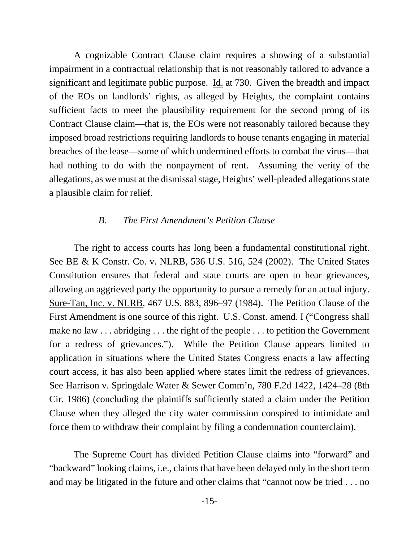A cognizable Contract Clause claim requires a showing of a substantial impairment in a contractual relationship that is not reasonably tailored to advance a significant and legitimate public purpose. Id. at 730. Given the breadth and impact of the EOs on landlords' rights, as alleged by Heights, the complaint contains sufficient facts to meet the plausibility requirement for the second prong of its Contract Clause claim—that is, the EOs were not reasonably tailored because they imposed broad restrictions requiring landlords to house tenants engaging in material breaches of the lease—some of which undermined efforts to combat the virus—that had nothing to do with the nonpayment of rent. Assuming the verity of the allegations, as we must at the dismissalstage, Heights' well-pleaded allegations state a plausible claim for relief.

#### *B. The First Amendment's Petition Clause*

The right to access courts has long been a fundamental constitutional right. See BE & K Constr. Co. v. NLRB, 536 U.S. 516, 524 (2002). The United States Constitution ensures that federal and state courts are open to hear grievances, allowing an aggrieved party the opportunity to pursue a remedy for an actual injury. Sure-Tan, Inc. v. NLRB, 467 U.S. 883, 896–97 (1984). The Petition Clause of the First Amendment is one source of this right. U.S. Const. amend. I ("Congress shall make no law . . . abridging . . . the right of the people . . . to petition the Government for a redress of grievances."). While the Petition Clause appears limited to application in situations where the United States Congress enacts a law affecting court access, it has also been applied where states limit the redress of grievances. See Harrison v. Springdale Water & Sewer Comm'n, 780 F.2d 1422, 1424–28 (8th Cir. 1986) (concluding the plaintiffs sufficiently stated a claim under the Petition Clause when they alleged the city water commission conspired to intimidate and force them to withdraw their complaint by filing a condemnation counterclaim).

The Supreme Court has divided Petition Clause claims into "forward" and "backward" looking claims, i.e., claims that have been delayed only in the short term and may be litigated in the future and other claims that "cannot now be tried . . . no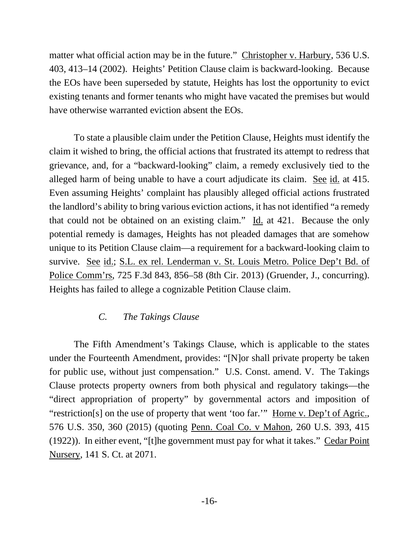matter what official action may be in the future." Christopher v. Harbury, 536 U.S. 403, 413–14 (2002). Heights' Petition Clause claim is backward-looking. Because the EOs have been superseded by statute, Heights has lost the opportunity to evict existing tenants and former tenants who might have vacated the premises but would have otherwise warranted eviction absent the EOs.

To state a plausible claim under the Petition Clause, Heights must identify the claim it wished to bring, the official actions that frustrated its attempt to redress that grievance, and, for a "backward-looking" claim, a remedy exclusively tied to the alleged harm of being unable to have a court adjudicate its claim. See id. at 415. Even assuming Heights' complaint has plausibly alleged official actions frustrated the landlord's ability to bring various eviction actions, it has not identified "a remedy that could not be obtained on an existing claim." Id. at 421. Because the only potential remedy is damages, Heights has not pleaded damages that are somehow unique to its Petition Clause claim—a requirement for a backward-looking claim to survive. See id.; S.L. ex rel. Lenderman v. St. Louis Metro. Police Dep't Bd. of Police Comm'rs, 725 F.3d 843, 856–58 (8th Cir. 2013) (Gruender, J., concurring). Heights has failed to allege a cognizable Petition Clause claim.

# *C. The Takings Clause*

The Fifth Amendment's Takings Clause, which is applicable to the states under the Fourteenth Amendment, provides: "[N]or shall private property be taken for public use, without just compensation." U.S. Const. amend. V. The Takings Clause protects property owners from both physical and regulatory takings—the "direct appropriation of property" by governmental actors and imposition of "restriction[s] on the use of property that went 'too far."" Horne v. Dep't of Agric., 576 U.S. 350, 360 (2015) (quoting Penn. Coal Co. v Mahon, 260 U.S. 393, 415 (1922)). In either event, "[t]he government must pay for what it takes." Cedar Point Nursery, 141 S. Ct. at 2071.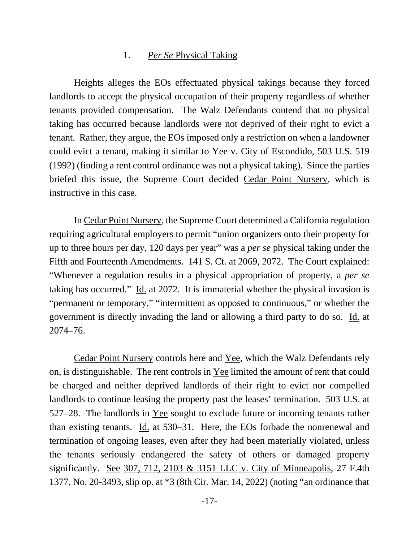#### 1. *Per Se* Physical Taking

Heights alleges the EOs effectuated physical takings because they forced landlords to accept the physical occupation of their property regardless of whether tenants provided compensation. The Walz Defendants contend that no physical taking has occurred because landlords were not deprived of their right to evict a tenant. Rather, they argue, the EOs imposed only a restriction on when a landowner could evict a tenant, making it similar to Yee v. City of Escondido, 503 U.S. 519 (1992) (finding a rent control ordinance was not a physical taking). Since the parties briefed this issue, the Supreme Court decided Cedar Point Nursery, which is instructive in this case.

In Cedar Point Nursery, the Supreme Court determined a California regulation requiring agricultural employers to permit "union organizers onto their property for up to three hours per day, 120 days per year" was a *per se* physical taking under the Fifth and Fourteenth Amendments. 141 S. Ct. at 2069, 2072. The Court explained: "Whenever a regulation results in a physical appropriation of property, a *per se* taking has occurred." Id. at 2072. It is immaterial whether the physical invasion is "permanent or temporary," "intermittent as opposed to continuous," or whether the government is directly invading the land or allowing a third party to do so. Id. at 2074–76.

Cedar Point Nursery controls here and Yee, which the Walz Defendants rely on, is distinguishable. The rent controls in Yee limited the amount of rent that could be charged and neither deprived landlords of their right to evict nor compelled landlords to continue leasing the property past the leases' termination. 503 U.S. at 527–28. The landlords in Yee sought to exclude future or incoming tenants rather than existing tenants. Id. at 530–31. Here, the EOs forbade the nonrenewal and termination of ongoing leases, even after they had been materially violated, unless the tenants seriously endangered the safety of others or damaged property significantly. See 307, 712, 2103 & 3151 LLC v. City of Minneapolis, 27 F.4th 1377, No. 20-3493, slip op. at \*3 (8th Cir. Mar. 14, 2022) (noting "an ordinance that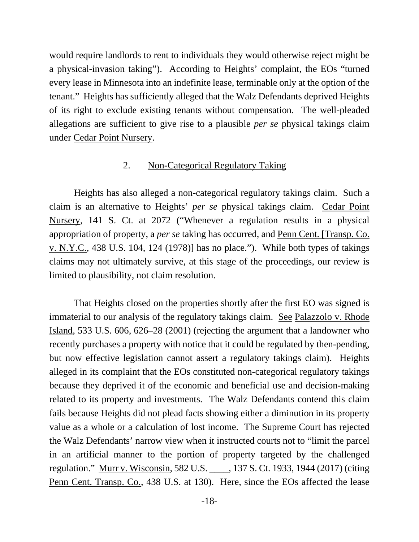would require landlords to rent to individuals they would otherwise reject might be a physical-invasion taking"). According to Heights' complaint, the EOs "turned every lease in Minnesota into an indefinite lease, terminable only at the option of the tenant." Heights has sufficiently alleged that the Walz Defendants deprived Heights of its right to exclude existing tenants without compensation. The well-pleaded allegations are sufficient to give rise to a plausible *per se* physical takings claim under Cedar Point Nursery.

#### 2. Non-Categorical Regulatory Taking

Heights has also alleged a non-categorical regulatory takings claim. Such a claim is an alternative to Heights' *per se* physical takings claim. Cedar Point Nursery, 141 S. Ct. at 2072 ("Whenever a regulation results in a physical appropriation of property, a *per se* taking has occurred, and Penn Cent. [Transp. Co. v. N.Y.C., 438 U.S. 104, 124 (1978)] has no place."). While both types of takings claims may not ultimately survive, at this stage of the proceedings, our review is limited to plausibility, not claim resolution.

That Heights closed on the properties shortly after the first EO was signed is immaterial to our analysis of the regulatory takings claim. See Palazzolo v. Rhode Island, 533 U.S. 606, 626–28 (2001) (rejecting the argument that a landowner who recently purchases a property with notice that it could be regulated by then-pending, but now effective legislation cannot assert a regulatory takings claim). Heights alleged in its complaint that the EOs constituted non-categorical regulatory takings because they deprived it of the economic and beneficial use and decision-making related to its property and investments. The Walz Defendants contend this claim fails because Heights did not plead facts showing either a diminution in its property value as a whole or a calculation of lost income. The Supreme Court has rejected the Walz Defendants' narrow view when it instructed courts not to "limit the parcel in an artificial manner to the portion of property targeted by the challenged regulation." Murr v. Wisconsin, 582 U.S. \_\_\_\_, 137 S. Ct. 1933, 1944 (2017) (citing Penn Cent. Transp. Co., 438 U.S. at 130). Here, since the EOs affected the lease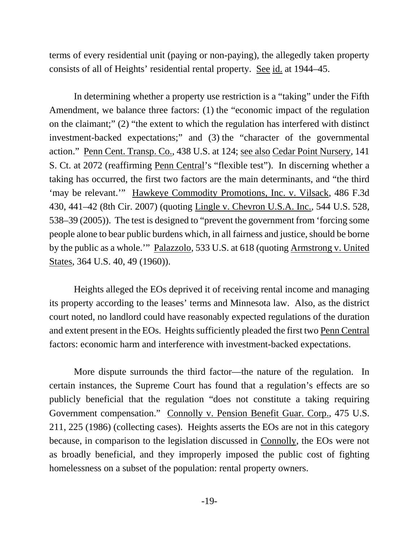terms of every residential unit (paying or non-paying), the allegedly taken property consists of all of Heights' residential rental property. See id. at 1944–45.

In determining whether a property use restriction is a "taking" under the Fifth Amendment, we balance three factors: (1) the "economic impact of the regulation on the claimant;" (2) "the extent to which the regulation has interfered with distinct investment-backed expectations;" and (3) the "character of the governmental action." Penn Cent. Transp. Co., 438 U.S. at 124; see also Cedar Point Nursery, 141 S. Ct. at 2072 (reaffirming Penn Central's "flexible test"). In discerning whether a taking has occurred, the first two factors are the main determinants, and "the third 'may be relevant.'" Hawkeye Commodity Promotions, Inc. v. Vilsack, 486 F.3d 430, 441–42 (8th Cir. 2007) (quoting Lingle v. Chevron U.S.A. Inc., 544 U.S. 528, 538–39 (2005)). The test is designed to "prevent the government from 'forcing some people alone to bear public burdens which, in all fairness and justice, should be borne by the public as a whole.'" Palazzolo, 533 U.S. at 618 (quoting Armstrong v. United States, 364 U.S. 40, 49 (1960)).

Heights alleged the EOs deprived it of receiving rental income and managing its property according to the leases' terms and Minnesota law. Also, as the district court noted, no landlord could have reasonably expected regulations of the duration and extent present in the EOs. Heights sufficiently pleaded the first two Penn Central factors: economic harm and interference with investment-backed expectations.

More dispute surrounds the third factor—the nature of the regulation. In certain instances, the Supreme Court has found that a regulation's effects are so publicly beneficial that the regulation "does not constitute a taking requiring Government compensation." Connolly v. Pension Benefit Guar. Corp., 475 U.S. 211, 225 (1986) (collecting cases). Heights asserts the EOs are not in this category because, in comparison to the legislation discussed in Connolly, the EOs were not as broadly beneficial, and they improperly imposed the public cost of fighting homelessness on a subset of the population: rental property owners.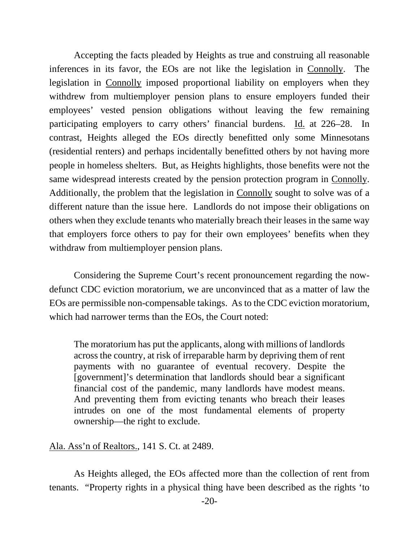Accepting the facts pleaded by Heights as true and construing all reasonable inferences in its favor, the EOs are not like the legislation in Connolly. The legislation in Connolly imposed proportional liability on employers when they withdrew from multiemployer pension plans to ensure employers funded their employees' vested pension obligations without leaving the few remaining participating employers to carry others' financial burdens. Id. at 226–28. In contrast, Heights alleged the EOs directly benefitted only some Minnesotans (residential renters) and perhaps incidentally benefitted others by not having more people in homeless shelters. But, as Heights highlights, those benefits were not the same widespread interests created by the pension protection program in Connolly. Additionally, the problem that the legislation in Connolly sought to solve was of a different nature than the issue here. Landlords do not impose their obligations on others when they exclude tenants who materially breach their leases in the same way that employers force others to pay for their own employees' benefits when they withdraw from multiemployer pension plans.

Considering the Supreme Court's recent pronouncement regarding the nowdefunct CDC eviction moratorium, we are unconvinced that as a matter of law the EOs are permissible non-compensable takings. As to the CDC eviction moratorium, which had narrower terms than the EOs, the Court noted:

The moratorium has put the applicants, along with millions of landlords across the country, at risk of irreparable harm by depriving them of rent payments with no guarantee of eventual recovery. Despite the [government]'s determination that landlords should bear a significant financial cost of the pandemic, many landlords have modest means. And preventing them from evicting tenants who breach their leases intrudes on one of the most fundamental elements of property ownership—the right to exclude.

### Ala. Ass'n of Realtors., 141 S. Ct. at 2489.

As Heights alleged, the EOs affected more than the collection of rent from tenants. "Property rights in a physical thing have been described as the rights 'to